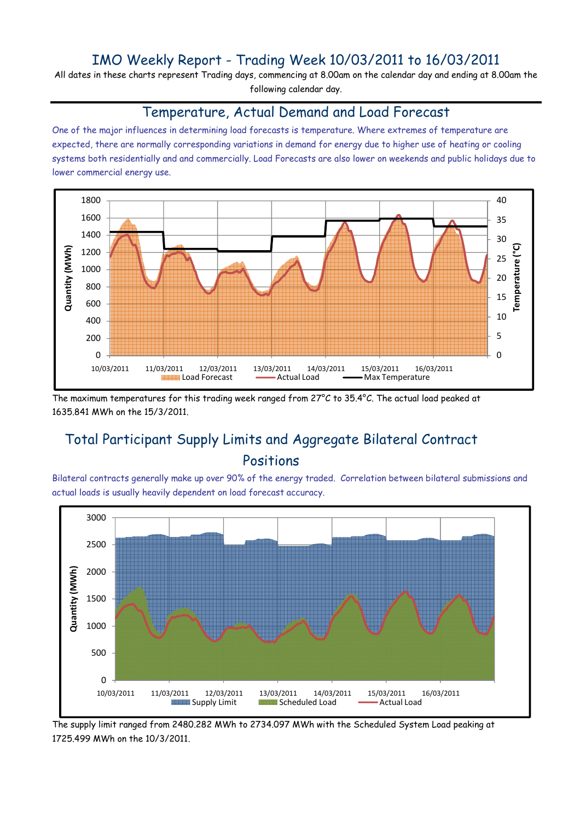## IMO Weekly Report - Trading Week 10/03/2011 to 16/03/2011

All dates in these charts represent Trading days, commencing at 8.00am on the calendar day and ending at 8.00am the following calendar day.

#### Temperature, Actual Demand and Load Forecast

One of the major influences in determining load forecasts is temperature. Where extremes of temperature are expected, there are normally corresponding variations in demand for energy due to higher use of heating or cooling systems both residentially and and commercially. Load Forecasts are also lower on weekends and public holidays due to lower commercial energy use.



The maximum temperatures for this trading week ranged from 27°C to 35.4°C. The actual load peaked at 1635.841 MWh on the 15/3/2011.

# Total Participant Supply Limits and Aggregate Bilateral Contract Positions

Bilateral contracts generally make up over 90% of the energy traded. Correlation between bilateral submissions and actual loads is usually heavily dependent on load forecast accuracy.



The supply limit ranged from 2480.282 MWh to 2734.097 MWh with the Scheduled System Load peaking at 1725.499 MWh on the 10/3/2011.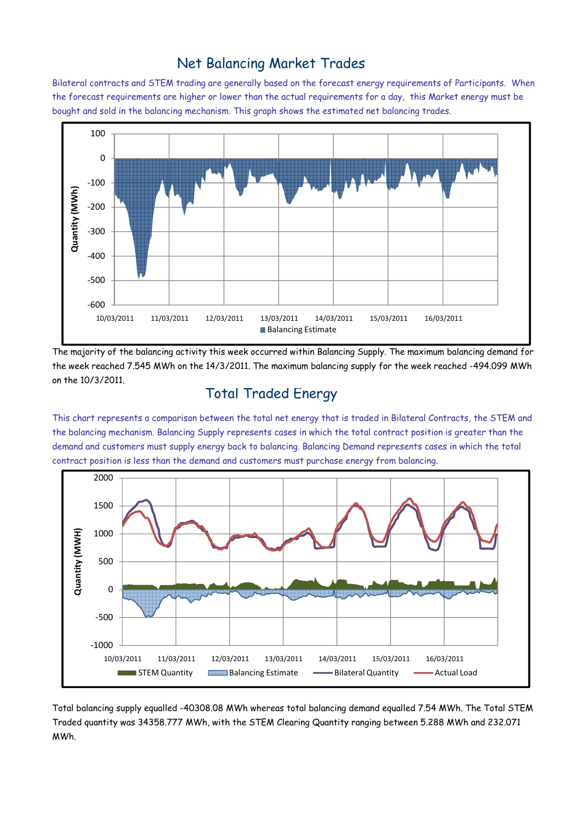### Net Balancing Market Trades

Bilateral contracts and STEM trading are generally based on the forecast energy requirements of Participants. When the forecast requirements are higher or lower than the actual requirements for a day, this Market energy must be bought and sold in the balancing mechanism. This graph shows the estimated net balancing trades.



The majority of the balancing activity this week occurred within Balancing Supply. The maximum balancing demand for the week reached 7.545 MWh on the 14/3/2011. The maximum balancing supply for the week reached -494.099 MWh on the 10/3/2011.

### Total Traded Energy

This chart represents a comparison between the total net energy that is traded in Bilateral Contracts, the STEM and the balancing mechanism. Balancing Supply represents cases in which the total contract position is greater than the demand and customers must supply energy back to balancing. Balancing Demand represents cases in which the total contract position is less than the demand and customers must purchase energy from balancing.



Total balancing supply equalled -40308.08 MWh whereas total balancing demand equalled 7.54 MWh. The Total STEM Traded quantity was 34358.777 MWh, with the STEM Clearing Quantity ranging between 5.288 MWh and 232.071 MWh.